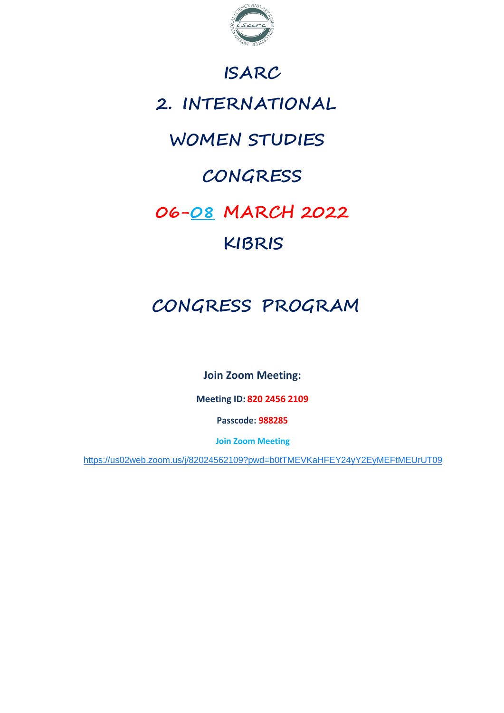

### **ISARC**

## **2. INTERNATIONAL**

### **WOMEN STUDIES**

## **CONGRESS**

# **06-08 MARCH 2022**

### **KIBRIS**

## **CONGRESS PROGRAM**

**Join Zoom Meeting:**

**Meeting ID: 820 2456 2109**

**Passcode: 988285**

**Join Zoom Meeting**

<https://us02web.zoom.us/j/82024562109?pwd=b0tTMEVKaHFEY24yY2EyMEFtMEUrUT09>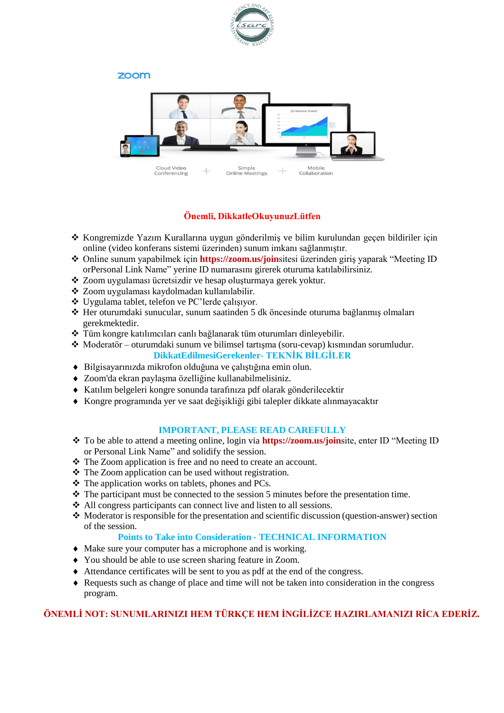

#### zoom



#### **Önemli, DikkatleOkuyunuzLütfen**

- \* Kongremizde Yazım Kurallarına uygun gönderilmiş ve bilim kurulundan geçen bildiriler için online (video konferans sistemi üzerinden) sunum imkanı sağlanmıştır.
- Online sunum yapabilmek için **https://zoom.us/join**sitesi üzerinden giriş yaparak "Meeting ID orPersonal Link Name" yerine ID numarasını girerek oturuma katılabilirsiniz.
- Zoom uygulaması ücretsizdir ve hesap oluşturmaya gerek yoktur.
- \* Zoom uygulaması kaydolmadan kullanılabilir.
- Uygulama tablet, telefon ve PC'lerde çalışıyor.
- Her oturumdaki sunucular, sunum saatinden 5 dk öncesinde oturuma bağlanmış olmaları gerekmektedir.
- Tüm kongre katılımcıları canlı bağlanarak tüm oturumları dinleyebilir.
- $\triangle$  Moderatör oturumdaki sunum ve bilimsel tartışma (soru-cevap) kısmından sorumludur. **DikkatEdilmesiGerekenler- TEKNİK BİLGİLER**
- Bilgisayarınızda mikrofon olduğuna ve çalıştığına emin olun.
- Zoom'da ekran paylaşma özelliğine kullanabilmelisiniz.
- Katılım belgeleri kongre sonunda tarafınıza pdf olarak gönderilecektir
- Kongre programında yer ve saat değişikliği gibi talepler dikkate alınmayacaktır

#### **IMPORTANT, PLEASE READ CAREFULLY**

- To be able to attend a meeting online, login via **https://zoom.us/join**site, enter ID "Meeting ID or Personal Link Name" and solidify the session.
- The Zoom application is free and no need to create an account.
- The Zoom application can be used without registration.
- The application works on tablets, phones and PCs.
- $\cdot \cdot$  The participant must be connected to the session 5 minutes before the presentation time.
- All congress participants can connect live and listen to all sessions.
- $\lozenge$  Moderator is responsible for the presentation and scientific discussion (question-answer) section of the session.

#### **Points to Take into Consideration - TECHNICAL INFORMATION**

- Make sure your computer has a microphone and is working.
- You should be able to use screen sharing feature in Zoom.
- Attendance certificates will be sent to you as pdf at the end of the congress.
- Requests such as change of place and time will not be taken into consideration in the congress program.

#### **ÖNEMLİ NOT: SUNUMLARINIZI HEM TÜRKÇE HEM İNGİLİZCE HAZIRLAMANIZI RİCA EDERİZ.**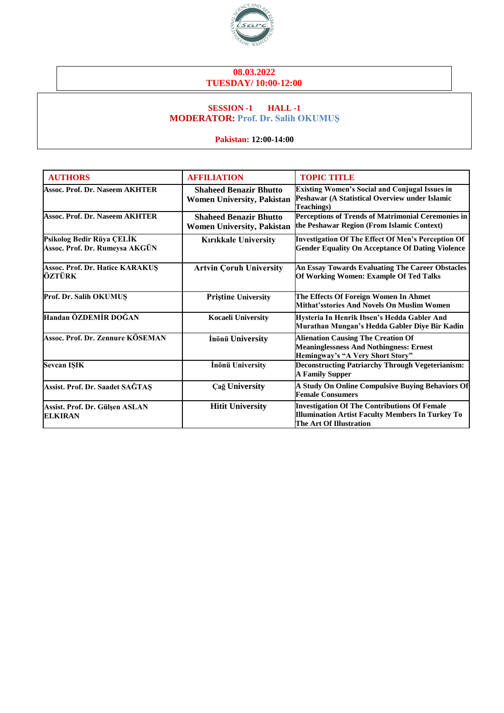

#### **08.03.2022 TUESDAY/ 10:00-12:00**

#### **SESSION -1 HALL -1 MODERATOR: Prof. Dr. Salih OKUMUŞ**

**Pakistan: 12:00-14:00**

| <b>AUTHORS</b>                                              | <b>AFFILIATION</b>                                                 | <b>TOPIC TITLE</b>                                                                                                                        |
|-------------------------------------------------------------|--------------------------------------------------------------------|-------------------------------------------------------------------------------------------------------------------------------------------|
| Assoc. Prof. Dr. Naseem AKHTER                              | <b>Shaheed Benazir Bhutto</b><br><b>Women University, Pakistan</b> | <b>Existing Women's Social and Conjugal Issues in</b><br>Peshawar (A Statistical Overview under Islamic<br>Teachings)                     |
| Assoc. Prof. Dr. Naseem AKHTER                              | <b>Shaheed Benazir Bhutto</b><br><b>Women University, Pakistan</b> | Perceptions of Trends of Matrimonial Ceremonies in<br>the Peshawar Region (From Islamic Context)                                          |
| Psikolog Bedir Rüya ÇELİK<br>Assoc. Prof. Dr. Rumeysa AKGÜN | <b>Kırıkkale University</b>                                        | <b>Investigation Of The Effect Of Men's Perception Of</b><br><b>Gender Equality On Acceptance Of Dating Violence</b>                      |
| Assoc. Prof. Dr. Hatice KARAKUŞ<br>ÖZTÜRK                   | <b>Artvin Coruh University</b>                                     | An Essay Towards Evaluating The Career Obstacles<br>Of Working Women: Example Of Ted Talks                                                |
| Prof. Dr. Salih OKUMUS                                      | <b>Priștine University</b>                                         | The Effects Of Foreign Women In Ahmet<br>Mithat'sstories And Novels On Muslim Women                                                       |
| Handan ÖZDEMİR DOĞAN                                        | <b>Kocaeli University</b>                                          | Hysteria In Henrik Ibsen's Hedda Gabler And<br>Murathan Mungan's Hedda Gabler Diye Bir Kadin                                              |
| Assoc. Prof. Dr. Zennure KÖSEMAN                            | İnönü University                                                   | <b>Alienation Causing The Creation Of</b><br><b>Meaninglessness And Nothingness: Ernest</b><br>Hemingway's "A Very Short Story"           |
| <b>Sevcan ISIK</b>                                          | İnönü University                                                   | <b>Deconstructing Patriarchy Through Vegeterianism:</b><br><b>A Family Supper</b>                                                         |
| Assist. Prof. Dr. Saadet SAĞTAŞ                             | <b>Cağ University</b>                                              | A Study On Online Compulsive Buying Behaviors Of<br><b>Female Consumers</b>                                                               |
| Assist. Prof. Dr. Gülşen ASLAN<br><b>ELKIRAN</b>            | <b>Hitit University</b>                                            | <b>Investigation Of The Contributions Of Female</b><br><b>Illumination Artist Faculty Members In Turkey To</b><br>The Art Of Illustration |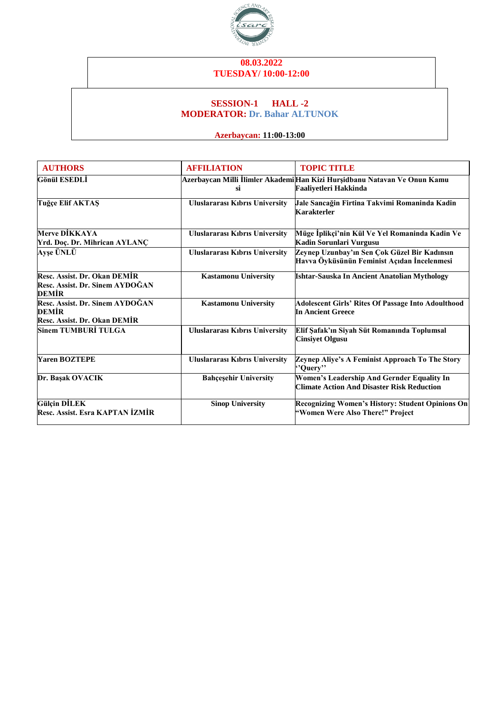

#### **08.03.2022 TUESDAY/ 10:00-12:00**

#### **SESSION-1 HALL -2 MODERATOR: Dr. Bahar ALTUNOK**

### **Azerbaycan: 11:00-13:00**

| <b>AUTHORS</b>                                                           | <b>AFFILIATION</b>                    | <b>TOPIC TITLE</b>                                                                                 |
|--------------------------------------------------------------------------|---------------------------------------|----------------------------------------------------------------------------------------------------|
| Gönül ESEDLİ                                                             | si                                    | Azerbaycan Milli İlimler Akademi Han Kizi Hurşidbanu Natavan Ve Onun Kamu<br>Faaliyetleri Hakkinda |
| Tuğçe Elif AKTAŞ                                                         | <b>Uluslararası Kıbrıs University</b> | Jale Sancağin Firtina Takvimi Romaninda Kadin<br><b>Karakterler</b>                                |
| <b>Merve DİKKAYA</b><br>Yrd. Doç. Dr. Mihrican AYLANÇ                    | <b>Uluslararası Kıbrıs University</b> | Müge İplikçi'nin Kül Ve Yel Romaninda Kadin Ve<br>Kadin Sorunlari Vurgusu                          |
| <b>Ayşe ÜNLÜ</b>                                                         | <b>Uluslararası Kıbrıs University</b> | Zeynep Uzunbay'ın Sen Çok Güzel Bir Kadınsın<br>Havva Öyküsünün Feminist Açıdan İncelenmesi        |
| Resc. Assist. Dr. Okan DEMİR<br>Resc. Assist. Dr. Sinem AYDOĞAN<br>DEMIR | <b>Kastamonu University</b>           | Ishtar-Sauska In Ancient Anatolian Mythology                                                       |
| Resc. Assist. Dr. Sinem AYDOGAN<br>DEMİR<br>Resc. Assist. Dr. Okan DEMİR | <b>Kastamonu University</b>           | <b>Adolescent Girls' Rites Of Passage Into Adoulthood</b><br><b>In Ancient Greece</b>              |
| Sinem TUMBURİ TULGA                                                      | <b>Uluslararası Kıbrıs University</b> | Elif Şafak'ın Siyah Süt Romanında Toplumsal<br><b>Cinsiyet Olgusu</b>                              |
| <b>Yaren BOZTEPE</b>                                                     | <b>Uluslararası Kıbrıs University</b> | Zeynep Aliye's A Feminist Approach To The Story<br>"Query"                                         |
| Dr. Başak OVACIK                                                         | <b>Bahçeşehir University</b>          | Women's Leadership And Gernder Equality In<br><b>Climate Action And Disaster Risk Reduction</b>    |
| <b>Gülçin DİLEK</b><br>Resc. Assist. Esra KAPTAN İZMİR                   | <b>Sinop University</b>               | Recognizing Women's History: Student Opinions On<br>"Women Were Also There!" Project               |